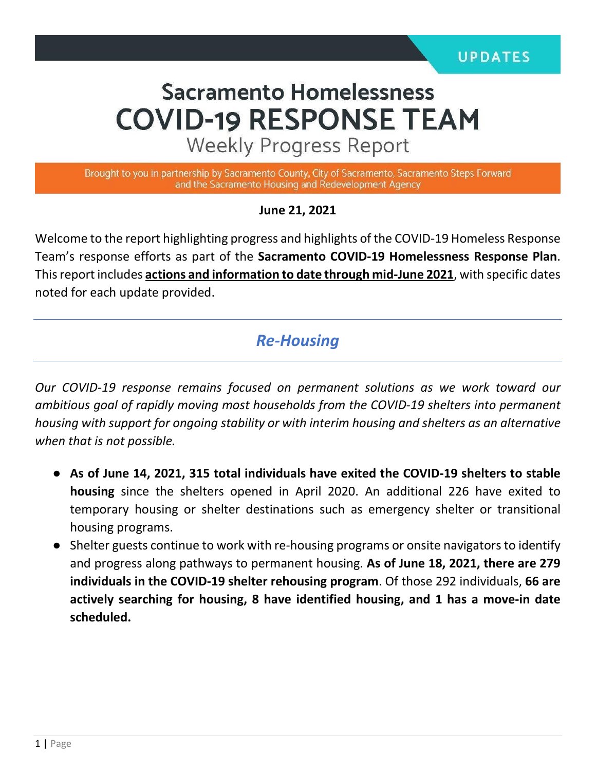# **Sacramento Homelessness COVID-19 RESPONSE TEAM**

**Weekly Progress Report** 

Brought to you in partnership by Sacramento County, City of Sacramento, Sacramento Steps Forward and the Sacramento Housing and Redevelopment Agency

**June 21, 2021**

Welcome to the report highlighting progress and highlights of the COVID-19 Homeless Response Team's response efforts as part of the **Sacramento COVID-19 Homelessness Response Plan**. This report includes **actions and information to date through mid-June 2021**, with specific dates noted for each update provided.

### *Re-Housing*

*Our COVID-19 response remains focused on permanent solutions as we work toward our ambitious goal of rapidly moving most households from the COVID-19 shelters into permanent housing with support for ongoing stability or with interim housing and shelters as an alternative when that is not possible.* 

- **As of June 14, 2021, 315 total individuals have exited the COVID-19 shelters to stable housing** since the shelters opened in April 2020. An additional 226 have exited to temporary housing or shelter destinations such as emergency shelter or transitional housing programs.
- Shelter guests continue to work with re-housing programs or onsite navigators to identify and progress along pathways to permanent housing. **As of June 18, 2021, there are 279 individuals in the COVID-19 shelter rehousing program**. Of those 292 individuals, **66 are actively searching for housing, 8 have identified housing, and 1 has a move-in date scheduled.**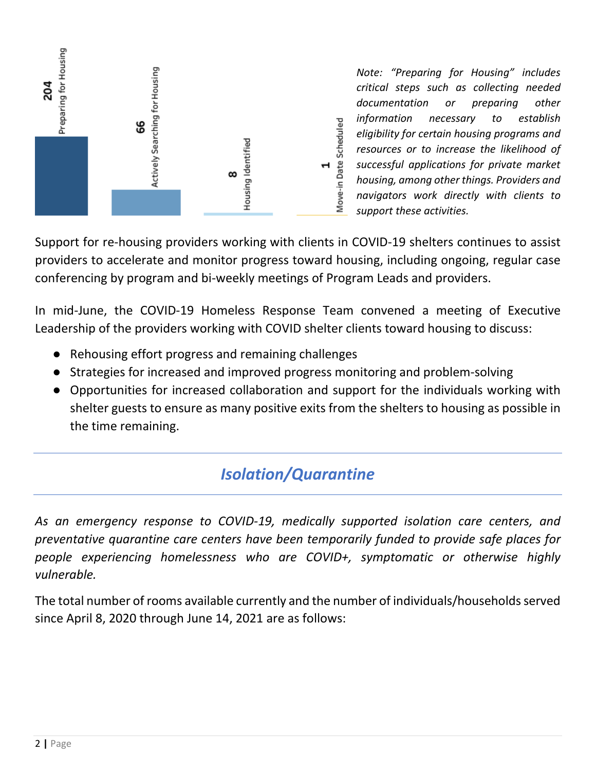

*Note: "Preparing for Housing" includes critical steps such as collecting needed documentation or preparing other information necessary to establish eligibility for certain housing programs and resources or to increase the likelihood of successful applications for private market housing, among other things. Providers and navigators work directly with clients to support these activities.*

Support for re-housing providers working with clients in COVID-19 shelters continues to assist providers to accelerate and monitor progress toward housing, including ongoing, regular case conferencing by program and bi-weekly meetings of Program Leads and providers.

In mid-June, the COVID-19 Homeless Response Team convened a meeting of Executive Leadership of the providers working with COVID shelter clients toward housing to discuss:

- Rehousing effort progress and remaining challenges
- Strategies for increased and improved progress monitoring and problem-solving
- Opportunities for increased collaboration and support for the individuals working with shelter guests to ensure as many positive exits from the shelters to housing as possible in the time remaining.

## *Isolation/Quarantine*

*As an emergency response to COVID-19, medically supported isolation care centers, and preventative quarantine care centers have been temporarily funded to provide safe places for people experiencing homelessness who are COVID+, symptomatic or otherwise highly vulnerable.*

The total number of rooms available currently and the number of individuals/households served since April 8, 2020 through June 14, 2021 are as follows: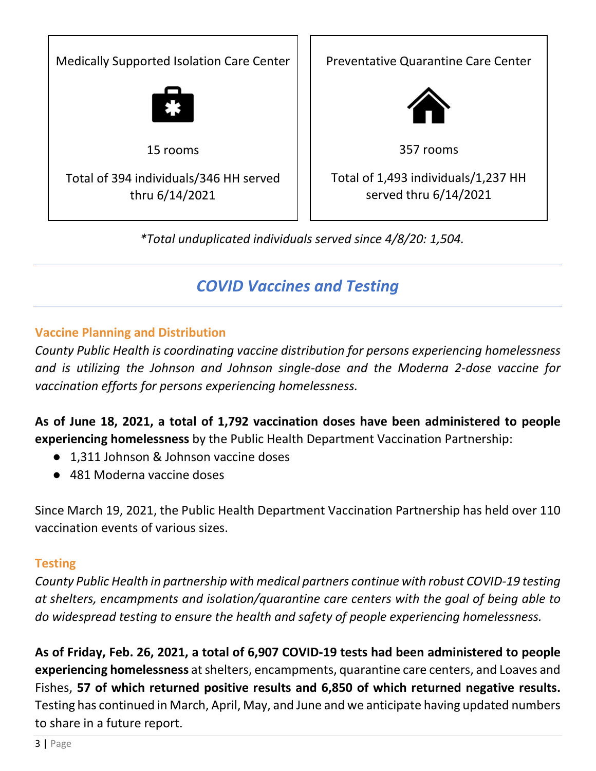

# *COVID Vaccines and Testing*

#### **Vaccine Planning and Distribution**

*County Public Health is coordinating vaccine distribution for persons experiencing homelessness and is utilizing the Johnson and Johnson single-dose and the Moderna 2-dose vaccine for vaccination efforts for persons experiencing homelessness.* 

**As of June 18, 2021, a total of 1,792 vaccination doses have been administered to people experiencing homelessness** by the Public Health Department Vaccination Partnership:

- 1.311 Johnson & Johnson vaccine doses
- 481 Moderna vaccine doses

Since March 19, 2021, the Public Health Department Vaccination Partnership has held over 110 vaccination events of various sizes.

#### **Testing**

*County Public Health in partnership with medical partners continue with robust COVID-19 testing at shelters, encampments and isolation/quarantine care centers with the goal of being able to do widespread testing to ensure the health and safety of people experiencing homelessness.* 

**As of Friday, Feb. 26, 2021, a total of 6,907 COVID-19 tests had been administered to people experiencing homelessness** at shelters, encampments, quarantine care centers, and Loaves and Fishes, **57 of which returned positive results and 6,850 of which returned negative results.**  Testing has continued in March, April, May, and June and we anticipate having updated numbers to share in a future report.